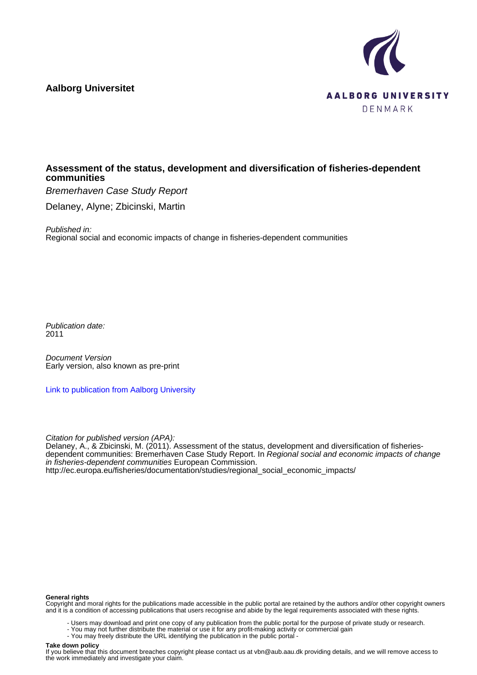# **Aalborg Universitet**



# **Assessment of the status, development and diversification of fisheries-dependent communities**

Bremerhaven Case Study Report

Delaney, Alyne; Zbicinski, Martin

Published in:

Regional social and economic impacts of change in fisheries-dependent communities

Publication date: 2011

Document Version Early version, also known as pre-print

[Link to publication from Aalborg University](https://vbn.aau.dk/en/publications/e4185f0e-cffb-402e-8847-85af79774e01)

Citation for published version (APA):

Delaney, A., & Zbicinski, M. (2011). Assessment of the status, development and diversification of fisheriesdependent communities: Bremerhaven Case Study Report. In *Regional social and economic impacts of change* in fisheries-dependent communities European Commission. [http://ec.europa.eu/fisheries/documentation/studies/regional\\_social\\_economic\\_impacts/](http://ec.europa.eu/fisheries/documentation/studies/regional_social_economic_impacts/)

#### **General rights**

Copyright and moral rights for the publications made accessible in the public portal are retained by the authors and/or other copyright owners and it is a condition of accessing publications that users recognise and abide by the legal requirements associated with these rights.

- Users may download and print one copy of any publication from the public portal for the purpose of private study or research.
- You may not further distribute the material or use it for any profit-making activity or commercial gain
- You may freely distribute the URL identifying the publication in the public portal -

#### **Take down policy**

If you believe that this document breaches copyright please contact us at vbn@aub.aau.dk providing details, and we will remove access to the work immediately and investigate your claim.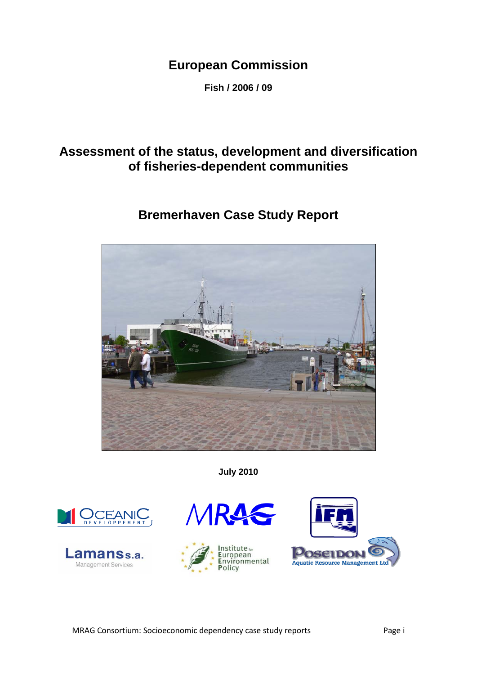# **European Commission**

**Fish / 2006 / 09**

# **Assessment of the status, development and diversification of fisheries-dependent communities**

# **Bremerhaven Case Study Report**



**July 2010**







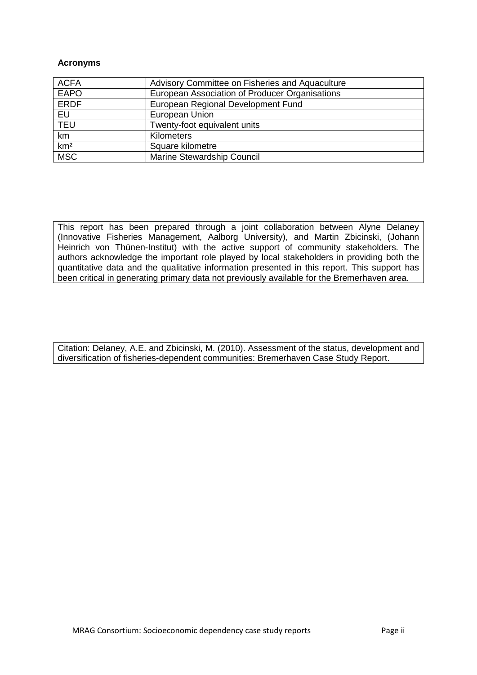#### **Acronyms**

| <b>ACFA</b>     | Advisory Committee on Fisheries and Aquaculture |
|-----------------|-------------------------------------------------|
| <b>EAPO</b>     | European Association of Producer Organisations  |
| <b>ERDF</b>     | European Regional Development Fund              |
| EU              | European Union                                  |
| <b>TEU</b>      | Twenty-foot equivalent units                    |
| km              | Kilometers                                      |
| km <sup>2</sup> | Square kilometre                                |
| <b>MSC</b>      | Marine Stewardship Council                      |

This report has been prepared through a joint collaboration between Alyne Delaney (Innovative Fisheries Management, Aalborg University), and Martin Zbicinski, (Johann Heinrich von Thünen-Institut) with the active support of community stakeholders. The authors acknowledge the important role played by local stakeholders in providing both the quantitative data and the qualitative information presented in this report. This support has been critical in generating primary data not previously available for the Bremerhaven area.

Citation: Delaney, A.E. and Zbicinski, M. (2010). Assessment of the status, development and diversification of fisheries-dependent communities: Bremerhaven Case Study Report.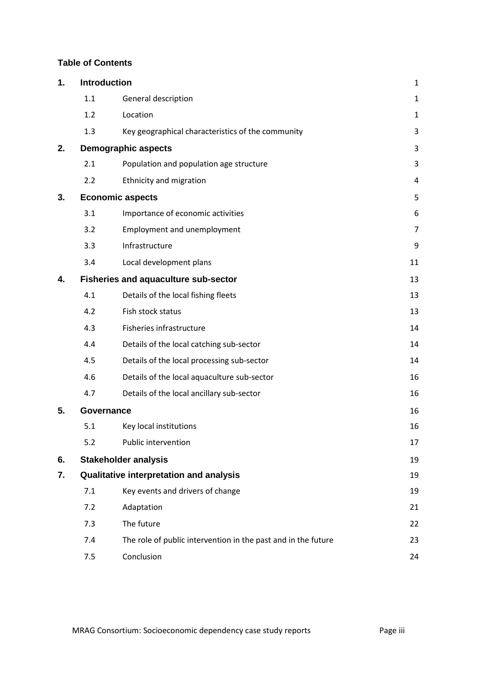# **Table of Contents**

| 1. | Introduction |                                                               | $\mathbf 1$    |
|----|--------------|---------------------------------------------------------------|----------------|
|    | 1.1          | General description                                           | $\mathbf{1}$   |
|    | 1.2          | Location                                                      | $\mathbf{1}$   |
|    | 1.3          | Key geographical characteristics of the community             | 3              |
| 2. |              | <b>Demographic aspects</b>                                    | 3              |
|    | 2.1          | Population and population age structure                       | 3              |
|    | 2.2          | Ethnicity and migration                                       | 4              |
| 3. |              | <b>Economic aspects</b>                                       | 5              |
|    | 3.1          | Importance of economic activities                             | 6              |
|    | 3.2          | Employment and unemployment                                   | $\overline{7}$ |
|    | 3.3          | Infrastructure                                                | 9              |
|    | 3.4          | Local development plans                                       | 11             |
| 4. |              | <b>Fisheries and aquaculture sub-sector</b>                   | 13             |
|    | 4.1          | Details of the local fishing fleets                           | 13             |
|    | 4.2          | Fish stock status                                             | 13             |
|    | 4.3          | Fisheries infrastructure                                      | 14             |
|    | 4.4          | Details of the local catching sub-sector                      | 14             |
|    | 4.5          | Details of the local processing sub-sector                    | 14             |
|    | 4.6          | Details of the local aquaculture sub-sector                   | 16             |
|    | 4.7          | Details of the local ancillary sub-sector                     | 16             |
| 5. | Governance   |                                                               | 16             |
|    | 5.1          | Key local institutions                                        | 16             |
|    | 5.2          | Public intervention                                           | 17             |
| 6. |              | <b>Stakeholder analysis</b>                                   | 19             |
| 7. |              | Qualitative interpretation and analysis                       | 19             |
|    | 7.1          | Key events and drivers of change                              | 19             |
|    | 7.2          | Adaptation                                                    | 21             |
|    | 7.3          | The future                                                    | 22             |
|    | 7.4          | The role of public intervention in the past and in the future | 23             |
|    | 7.5          | Conclusion                                                    | 24             |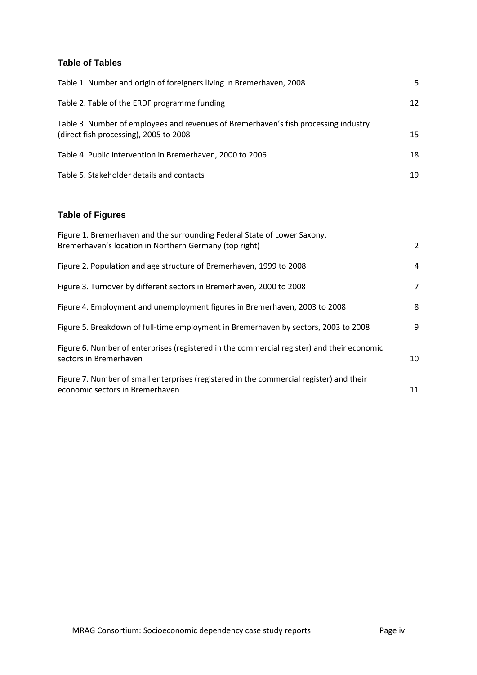# **Table of Tables**

| Table 1. Number and origin of foreigners living in Bremerhaven, 2008                                                          | 5. |
|-------------------------------------------------------------------------------------------------------------------------------|----|
| Table 2. Table of the ERDF programme funding                                                                                  | 12 |
| Table 3. Number of employees and revenues of Bremerhaven's fish processing industry<br>(direct fish processing), 2005 to 2008 | 15 |
| Table 4. Public intervention in Bremerhaven, 2000 to 2006                                                                     | 18 |
| Table 5. Stakeholder details and contacts                                                                                     | 19 |

# **Table of Figures**

| Figure 1. Bremerhaven and the surrounding Federal State of Lower Saxony,<br>Bremerhaven's location in Northern Germany (top right) | 2  |
|------------------------------------------------------------------------------------------------------------------------------------|----|
| Figure 2. Population and age structure of Bremerhaven, 1999 to 2008                                                                | 4  |
| Figure 3. Turnover by different sectors in Bremerhaven, 2000 to 2008                                                               | 7  |
| Figure 4. Employment and unemployment figures in Bremerhaven, 2003 to 2008                                                         | 8  |
| Figure 5. Breakdown of full-time employment in Bremerhaven by sectors, 2003 to 2008                                                | 9  |
| Figure 6. Number of enterprises (registered in the commercial register) and their economic<br>sectors in Bremerhaven               | 10 |
| Figure 7. Number of small enterprises (registered in the commercial register) and their<br>economic sectors in Bremerhaven         | 11 |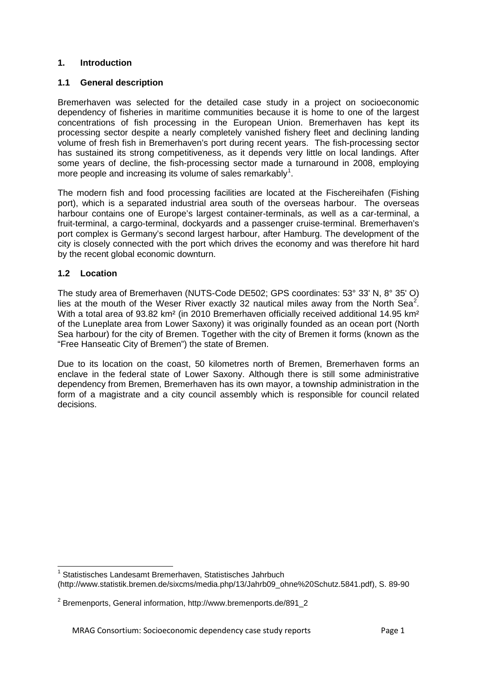# <span id="page-5-0"></span>**1. Introduction**

#### <span id="page-5-1"></span>**1.1 General description**

Bremerhaven was selected for the detailed case study in a project on socioeconomic dependency of fisheries in maritime communities because it is home to one of the largest concentrations of fish processing in the European Union. Bremerhaven has kept its processing sector despite a nearly completely vanished fishery fleet and declining landing volume of fresh fish in Bremerhaven's port during recent years. The fish-processing sector has sustained its strong competitiveness, as it depends very little on local landings. After some years of decline, the fish-processing sector made a turnaround in 2008, employing more people and increasing its volume of sales remarkably<sup>[1](#page-5-3)</sup>.

The modern fish and food processing facilities are located at the Fischereihafen (Fishing port), which is a separated industrial area south of the overseas harbour. The overseas harbour contains one of Europe's largest container-terminals, as well as a car-terminal, a fruit-terminal, a cargo-terminal, dockyards and a passenger cruise-terminal. Bremerhaven's port complex is Germany's second largest harbour, after Hamburg. The development of the city is closely connected with the port which drives the economy and was therefore hit hard by the recent global economic downturn.

# <span id="page-5-2"></span>**1.2 Location**

The study area of Bremerhaven (NUTS-Code DE502; GPS coordinates: 53° 33' N, 8° 35' O) lies at the mouth of the Weser River exactly 3[2](#page-5-4) nautical miles away from the North Sea<sup>2</sup>. With a total area of 93.82 km<sup>2</sup> (in 2010 Bremerhaven officially received additional 14.95 km<sup>2</sup> of the Luneplate area from Lower Saxony) it was originally founded as an ocean port (North Sea harbour) for the city of Bremen. Together with the city of Bremen it forms (known as the "Free Hanseatic City of Bremen") the state of Bremen.

Due to its location on the coast, 50 kilometres north of Bremen, Bremerhaven forms an enclave in the federal state of Lower Saxony. Although there is still some administrative dependency from Bremen, Bremerhaven has its own mayor, a township administration in the form of a magistrate and a city council assembly which is responsible for council related decisions.

<span id="page-5-3"></span> <sup>1</sup> Statistisches Landesamt Bremerhaven, Statistisches Jahrbuch [\(http://www.statistik.bremen.de/sixcms/media.php/13/Jahrb09\\_ohne%20Schutz.5841.pdf\)](http://www.statistik.bremen.de/sixcms/media.php/13/Jahrb09_ohne%20Schutz.5841.pdf), S. 89-90

<span id="page-5-4"></span><sup>2</sup> Bremenports, General information, http://www.bremenports.de/891\_2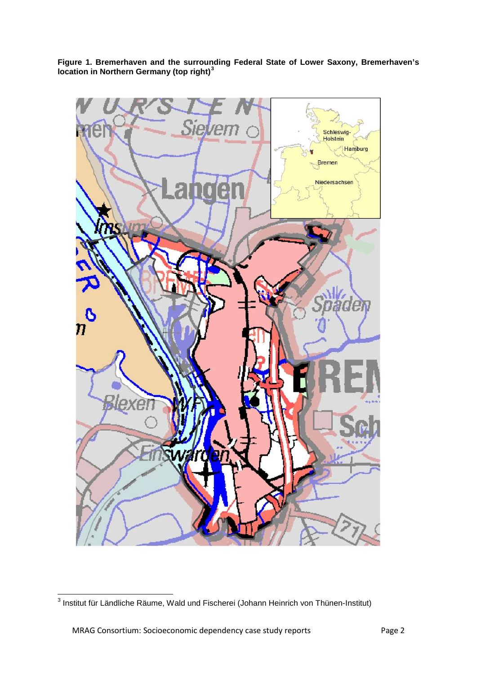<span id="page-6-0"></span>**Figure 1. Bremerhaven and the surrounding Federal State of Lower Saxony, Bremerhaven's location in Northern Germany (top right) [3](#page-6-1)**

<span id="page-6-1"></span>

 <sup>3</sup> Institut für Ländliche Räume, Wald und Fischerei (Johann Heinrich von Thünen-Institut)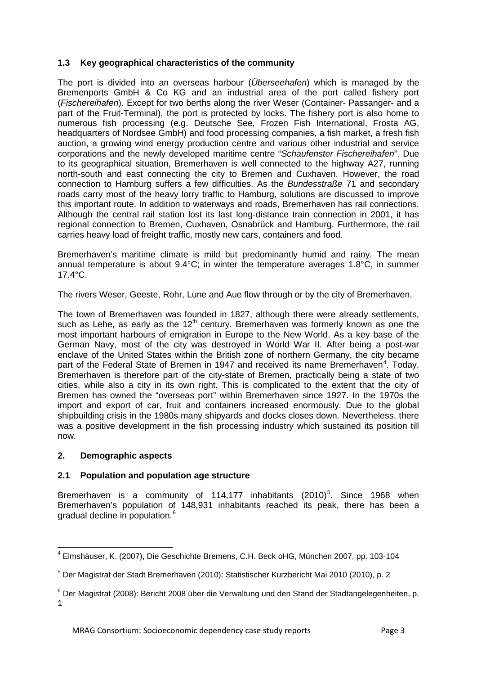# <span id="page-7-0"></span>**1.3 Key geographical characteristics of the community**

The port is divided into an overseas harbour (*Überseehafen*) which is managed by the Bremenports GmbH & Co KG and an industrial area of the port called fishery port (*Fischereihafen*). Except for two berths along the river Weser (Container- Passanger- and a part of the Fruit-Terminal), the port is protected by locks. The fishery port is also home to numerous fish processing (e.g. Deutsche See, Frozen Fish International, Frosta AG, headquarters of Nordsee GmbH) and food processing companies, a fish market, a fresh fish auction, a growing wind energy production centre and various other industrial and service corporations and the newly developed maritime centre "*Schaufenster Fischereihafen*". Due to its geographical situation, Bremerhaven is well connected to the highway A27, running north-south and east connecting the city to Bremen and Cuxhaven. However, the road connection to Hamburg suffers a few difficulties. As the *Bundesstraße* 71 and secondary roads carry most of the heavy lorry traffic to Hamburg, solutions are discussed to improve this important route. In addition to waterways and roads, Bremerhaven has rail connections. Although the central rail station lost its last long-distance train connection in 2001, it has regional connection to Bremen, Cuxhaven, Osnabrück and Hamburg. Furthermore, the rail carries heavy load of freight traffic, mostly new cars, containers and food.

Bremerhaven's maritime climate is mild but predominantly humid and rainy. The mean annual temperature is about 9.4°C; in winter the temperature averages 1.8°C, in summer 17.4°C.

The rivers Weser, Geeste, Rohr, Lune and Aue flow through or by the city of Bremerhaven.

The town of Bremerhaven was founded in 1827, although there were already settlements, such as Lehe, as early as the  $12<sup>th</sup>$  century. Bremerhaven was formerly known as one the most important harbours of emigration in Europe to the New World. As a key base of the German Navy, most of the city was destroyed in World War II. After being a post-war enclave of the United States within the British zone of northern Germany, the city became part of the Federal State of Bremen in 19[4](#page-7-3)7 and received its name Bremerhaven<sup>4</sup>. Today, Bremerhaven is therefore part of the city-state of Bremen, practically being a state of two cities, while also a city in its own right. This is complicated to the extent that the city of Bremen has owned the "overseas port" within Bremerhaven since 1927. In the 1970s the import and export of car, fruit and containers increased enormously. Due to the global shipbuilding crisis in the 1980s many shipyards and docks closes down. Nevertheless, there was a positive development in the fish processing industry which sustained its position till now.

# <span id="page-7-1"></span>**2. Demographic aspects**

# <span id="page-7-2"></span>**2.1 Population and population age structure**

Bremerhaven is a community of 114,177 inhabitants  $(2010)^5$  $(2010)^5$ . Since 1968 when Bremerhaven's population of 148,931 inhabitants reached its peak, there has been a gradual decline in population.<sup>[6](#page-7-5)</sup>

<span id="page-7-3"></span> <sup>4</sup> Elmshäuser, K. (2007), Die Geschichte Bremens, C.H. Beck oHG, München 2007, pp. 103-104

<span id="page-7-4"></span><sup>5</sup> Der Magistrat der Stadt Bremerhaven (2010): Statistischer Kurzbericht Mai 2010 (2010), p. 2

<span id="page-7-5"></span><sup>6</sup> Der Magistrat (2008): Bericht 2008 über die Verwaltung und den Stand der Stadtangelegenheiten, p. 1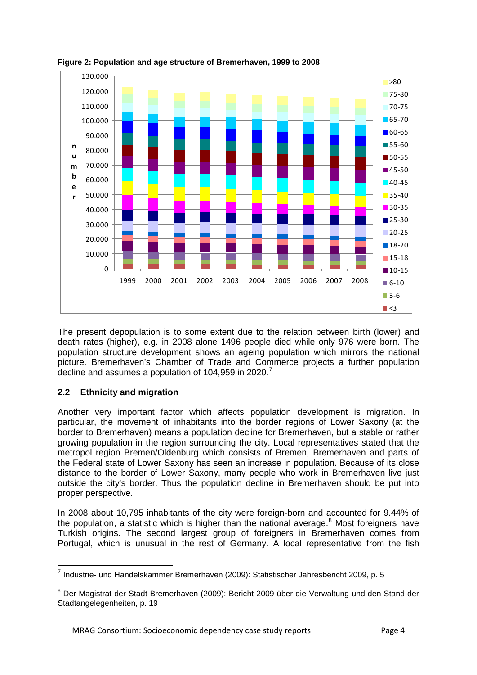

#### <span id="page-8-1"></span>**Figure 2: Population and age structure of Bremerhaven, 1999 to 2008**

The present depopulation is to some extent due to the relation between birth (lower) and death rates (higher), e.g. in 2008 alone 1496 people died while only 976 were born. The population structure development shows an ageing population which mirrors the national picture. Bremerhaven's Chamber of Trade and Commerce projects a further population decline and assumes a population of 104,959 in 2020.<sup>[7](#page-8-2)</sup>

# <span id="page-8-0"></span>**2.2 Ethnicity and migration**

Another very important factor which affects population development is migration. In particular, the movement of inhabitants into the border regions of Lower Saxony (at the border to Bremerhaven) means a population decline for Bremerhaven, but a stable or rather growing population in the region surrounding the city. Local representatives stated that the metropol region Bremen/Oldenburg which consists of Bremen, Bremerhaven and parts of the Federal state of Lower Saxony has seen an increase in population. Because of its close distance to the border of Lower Saxony, many people who work in Bremerhaven live just outside the city's border. Thus the population decline in Bremerhaven should be put into proper perspective.

In 2008 about 10,795 inhabitants of the city were foreign-born and accounted for 9.44% of the population, a statistic which is higher than the national average.<sup>[8](#page-8-3)</sup> Most foreigners have Turkish origins. The second largest group of foreigners in Bremerhaven comes from Portugal, which is unusual in the rest of Germany. A local representative from the fish

<span id="page-8-2"></span> <sup>7</sup> Industrie- und Handelskammer Bremerhaven (2009): Statistischer Jahresbericht 2009, p. 5

<span id="page-8-3"></span><sup>8</sup> Der Magistrat der Stadt Bremerhaven (2009): Bericht 2009 über die Verwaltung und den Stand der Stadtangelegenheiten, p. 19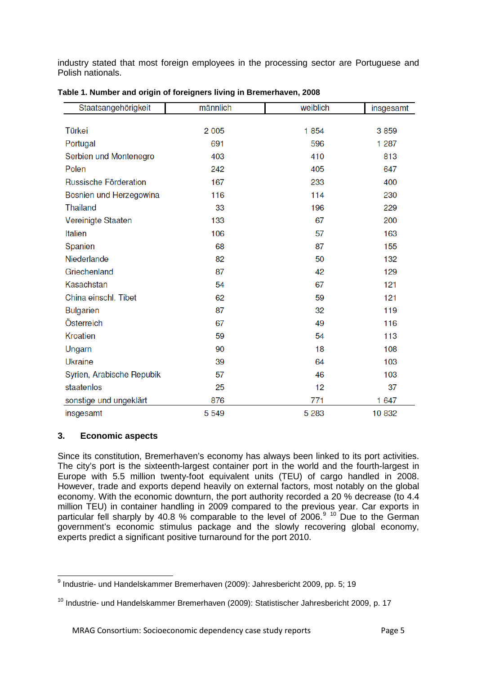industry stated that most foreign employees in the processing sector are Portuguese and Polish nationals.

| Staatsangehörigkeit       | männlich | weiblich | insgesamt |
|---------------------------|----------|----------|-----------|
|                           |          |          |           |
| Türkei                    | 2 0 0 5  | 1854     | 3859      |
| Portugal                  | 691      | 596      | 1 2 8 7   |
| Serbien und Montenegro    | 403      | 410      | 813       |
| Polen                     | 242      | 405      | 647       |
| Russische Förderation     | 167      | 233      | 400       |
| Bosnien und Herzegowina   | 116      | 114      | 230       |
| <b>Thailand</b>           | 33       | 196      | 229       |
| Vereinigte Staaten        | 133      | 67       | 200       |
| <b>Italien</b>            | 106      | 57       | 163       |
| Spanien                   | 68       | 87       | 155       |
| Niederlande               | 82       | 50       | 132       |
| Griechenland              | 87       | 42       | 129       |
| Kasachstan                | 54       | 67       | 121       |
| China einschl. Tibet      | 62       | 59       | 121       |
| <b>Bulgarien</b>          | 87       | 32       | 119       |
| Österreich                | 67       | 49       | 116       |
| <b>Kroatien</b>           | 59       | 54       | 113       |
| Ungarn                    | 90       | 18       | 108       |
| <b>Ukraine</b>            | 39       | 64       | 103       |
| Syrien, Arabische Repubik | 57       | 46       | 103       |
| staatenlos                | 25       | 12       | 37        |
| sonstige und ungeklärt    | 876      | 771      | 1 647     |
| insgesamt                 | 5 5 4 9  | 5 2 8 3  | 10832     |

<span id="page-9-1"></span>

| Table 1. Number and origin of foreigners living in Bremerhaven, 2008 |  |  |
|----------------------------------------------------------------------|--|--|
|----------------------------------------------------------------------|--|--|

#### <span id="page-9-0"></span>**3. Economic aspects**

Since its constitution, Bremerhaven's economy has always been linked to its port activities. The city's port is the sixteenth-largest container port in the world and the fourth-largest in Europe with 5.5 million twenty-foot equivalent units (TEU) of cargo handled in 2008. However, trade and exports depend heavily on external factors, most notably on the global economy. With the economic downturn, the port authority recorded a 20 % decrease (to 4.4 million TEU) in container handling in 2009 compared to the previous year. Car exports in particular fell sharply by 40.8 % comparable to the level of 2006.<sup>[9](#page-9-2) [10](#page-9-3)</sup> Due to the German government's economic stimulus package and the slowly recovering global economy, experts predict a significant positive turnaround for the port 2010.

<span id="page-9-2"></span> <sup>9</sup> Industrie- und Handelskammer Bremerhaven (2009): Jahresbericht 2009, pp. 5; 19

<span id="page-9-3"></span><sup>&</sup>lt;sup>10</sup> Industrie- und Handelskammer Bremerhaven (2009): Statistischer Jahresbericht 2009, p. 17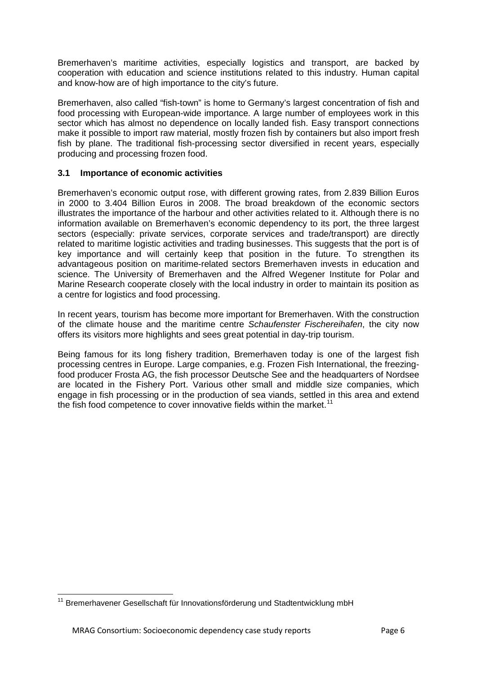Bremerhaven's maritime activities, especially logistics and transport, are backed by cooperation with education and science institutions related to this industry. Human capital and know-how are of high importance to the city's future.

Bremerhaven, also called "fish-town" is home to Germany's largest concentration of fish and food processing with European-wide importance. A large number of employees work in this sector which has almost no dependence on locally landed fish. Easy transport connections make it possible to import raw material, mostly frozen fish by containers but also import fresh fish by plane. The traditional fish-processing sector diversified in recent years, especially producing and processing frozen food.

# <span id="page-10-0"></span>**3.1 Importance of economic activities**

Bremerhaven's economic output rose, with different growing rates, from 2.839 Billion Euros in 2000 to 3.404 Billion Euros in 2008. The broad breakdown of the economic sectors illustrates the importance of the harbour and other activities related to it. Although there is no information available on Bremerhaven's economic dependency to its port, the three largest sectors (especially: private services, corporate services and trade/transport) are directly related to maritime logistic activities and trading businesses. This suggests that the port is of key importance and will certainly keep that position in the future. To strengthen its advantageous position on maritime-related sectors Bremerhaven invests in education and science. The University of Bremerhaven and the Alfred Wegener Institute for Polar and Marine Research cooperate closely with the local industry in order to maintain its position as a centre for logistics and food processing.

In recent years, tourism has become more important for Bremerhaven. With the construction of the climate house and the maritime centre *Schaufenster Fischereihafen*, the city now offers its visitors more highlights and sees great potential in day-trip tourism.

Being famous for its long fishery tradition, Bremerhaven today is one of the largest fish processing centres in Europe. Large companies, e.g. Frozen Fish International, the freezingfood producer Frosta AG, the fish processor Deutsche See and the headquarters of Nordsee are located in the Fishery Port. Various other small and middle size companies, which engage in fish processing or in the production of sea viands, settled in this area and extend the fish food competence to cover innovative fields within the market.<sup>[11](#page-10-1)</sup>

<span id="page-10-1"></span><sup>&</sup>lt;sup>11</sup> Bremerhavener Gesellschaft für Innovationsförderung und Stadtentwicklung mbH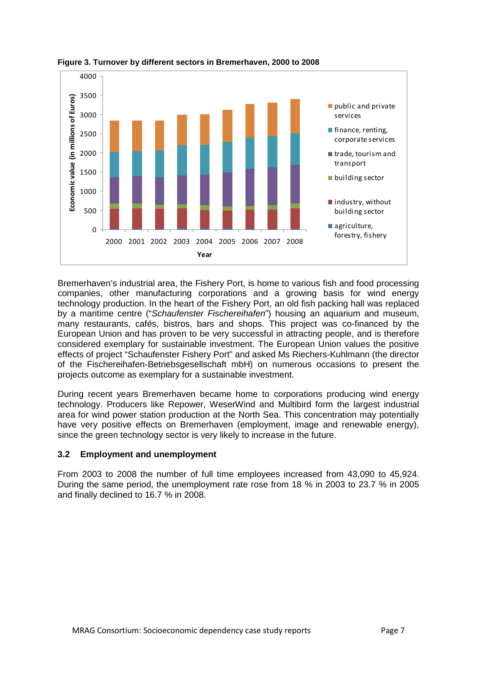

<span id="page-11-1"></span>**Figure 3. Turnover by different sectors in Bremerhaven, 2000 to 2008**

Bremerhaven's industrial area, the Fishery Port, is home to various fish and food processing companies, other manufacturing corporations and a growing basis for wind energy technology production. In the heart of the Fishery Port, an old fish packing hall was replaced by a maritime centre ("*Schaufenster Fischereihafen*") housing an aquarium and museum, many restaurants, cafés, bistros, bars and shops. This project was co-financed by the European Union and has proven to be very successful in attracting people, and is therefore considered exemplary for sustainable investment. The European Union values the positive effects of project "Schaufenster Fishery Port" and asked Ms Riechers-Kuhlmann (the director of the Fischereihafen-Betriebsgesellschaft mbH) on numerous occasions to present the projects outcome as exemplary for a sustainable investment.

During recent years Bremerhaven became home to corporations producing wind energy technology. Producers like Repower, WeserWind and Multibird form the largest industrial area for wind power station production at the North Sea. This concentration may potentially have very positive effects on Bremerhaven (employment, image and renewable energy), since the green technology sector is very likely to increase in the future.

#### <span id="page-11-0"></span>**3.2 Employment and unemployment**

From 2003 to 2008 the number of full time employees increased from 43,090 to 45,924. During the same period, the unemployment rate rose from 18 % in 2003 to 23.7 % in 2005 and finally declined to 16.7 % in 2008.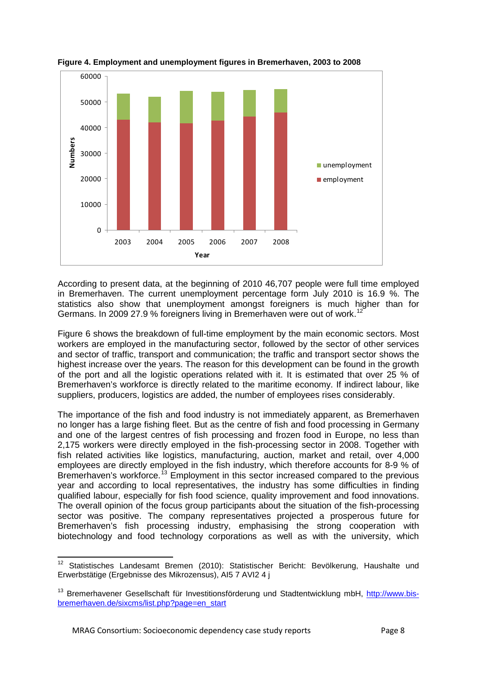

<span id="page-12-0"></span>

According to present data, at the beginning of 2010 46,707 people were full time employed in Bremerhaven. The current unemployment percentage form July 2010 is 16.9 %. The statistics also show that unemployment amongst foreigners is much higher than for Germans. In 2009 27.9 % foreigners living in Bremerhaven were out of work.[12](#page-12-1)

Figure 6 shows the breakdown of full-time employment by the main economic sectors. Most workers are employed in the manufacturing sector, followed by the sector of other services and sector of traffic, transport and communication; the traffic and transport sector shows the highest increase over the years. The reason for this development can be found in the growth of the port and all the logistic operations related with it. It is estimated that over 25 % of Bremerhaven's workforce is directly related to the maritime economy. If indirect labour, like suppliers, producers, logistics are added, the number of employees rises considerably.

The importance of the fish and food industry is not immediately apparent, as Bremerhaven no longer has a large fishing fleet. But as the centre of fish and food processing in Germany and one of the largest centres of fish processing and frozen food in Europe, no less than 2,175 workers were directly employed in the fish-processing sector in 2008. Together with fish related activities like logistics, manufacturing, auction, market and retail, over 4,000 employees are directly employed in the fish industry, which therefore accounts for 8-9 % of Bremerhaven's workforce.<sup>[13](#page-12-2)</sup> Employment in this sector increased compared to the previous year and according to local representatives, the industry has some difficulties in finding qualified labour, especially for fish food science, quality improvement and food innovations. The overall opinion of the focus group participants about the situation of the fish-processing sector was positive. The company representatives projected a prosperous future for Bremerhaven's fish processing industry, emphasising the strong cooperation with biotechnology and food technology corporations as well as with the university, which

<span id="page-12-1"></span><sup>&</sup>lt;sup>12</sup> Statistisches Landesamt Bremen (2010): Statistischer Bericht: Bevölkerung, Haushalte und Erwerbstätige (Ergebnisse des Mikrozensus), AI5 7 AVI2 4 j

<span id="page-12-2"></span><sup>&</sup>lt;sup>13</sup> Bremerhavener Gesellschaft für Investitionsförderung und Stadtentwicklung mbH, [http://www.bis](http://www.bis-bremerhaven.de/sixcms/list.php?page=en_start)[bremerhaven.de/sixcms/list.php?page=en\\_start](http://www.bis-bremerhaven.de/sixcms/list.php?page=en_start)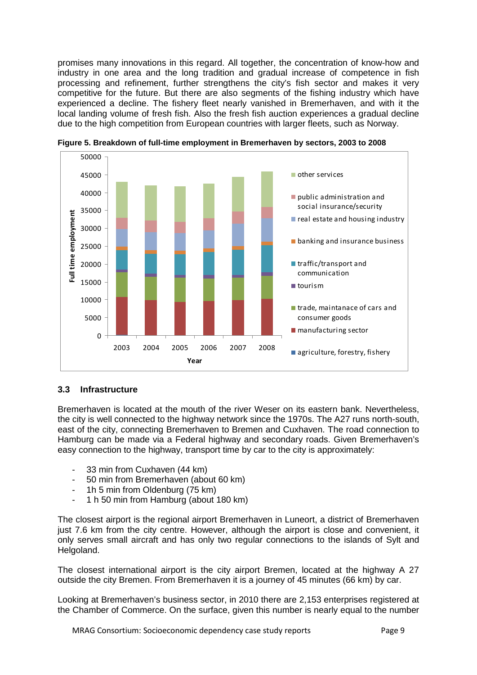promises many innovations in this regard. All together, the concentration of know-how and industry in one area and the long tradition and gradual increase of competence in fish processing and refinement, further strengthens the city's fish sector and makes it very competitive for the future. But there are also segments of the fishing industry which have experienced a decline. The fishery fleet nearly vanished in Bremerhaven, and with it the local landing volume of fresh fish. Also the fresh fish auction experiences a gradual decline due to the high competition from European countries with larger fleets, such as Norway.



<span id="page-13-1"></span>**Figure 5. Breakdown of full-time employment in Bremerhaven by sectors, 2003 to 2008**

#### <span id="page-13-0"></span>**3.3 Infrastructure**

Bremerhaven is located at the mouth of the river Weser on its eastern bank. Nevertheless, the city is well connected to the highway network since the 1970s. The A27 runs north-south, east of the city, connecting Bremerhaven to Bremen and Cuxhaven. The road connection to Hamburg can be made via a Federal highway and secondary roads. Given Bremerhaven's easy connection to the highway, transport time by car to the city is approximately:

- 33 min from Cuxhaven (44 km)
- 50 min from Bremerhaven (about 60 km)
- 1h 5 min from Oldenburg (75 km)
- 1 h 50 min from Hamburg (about 180 km)

The closest airport is the regional airport Bremerhaven in Luneort, a district of Bremerhaven just 7.6 km from the city centre. However, although the airport is close and convenient, it only serves small aircraft and has only two regular connections to the islands of Sylt and Helgoland.

The closest international airport is the city airport Bremen, located at the highway A 27 outside the city Bremen. From Bremerhaven it is a journey of 45 minutes (66 km) by car.

Looking at Bremerhaven's business sector, in 2010 there are 2,153 enterprises registered at the Chamber of Commerce. On the surface, given this number is nearly equal to the number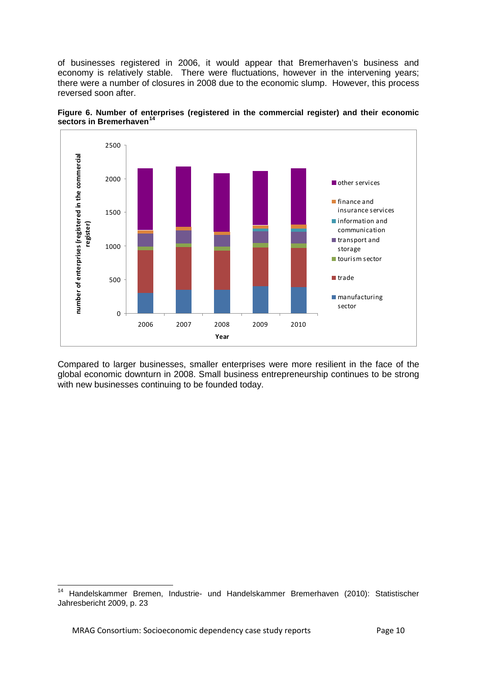of businesses registered in 2006, it would appear that Bremerhaven's business and economy is relatively stable. There were fluctuations, however in the intervening years; there were a number of closures in 2008 due to the economic slump. However, this process reversed soon after.



<span id="page-14-0"></span>

Compared to larger businesses, smaller enterprises were more resilient in the face of the global economic downturn in 2008. Small business entrepreneurship continues to be strong with new businesses continuing to be founded today.

<span id="page-14-1"></span> <sup>14</sup> Handelskammer Bremen, Industrie- und Handelskammer Bremerhaven (2010): Statistischer Jahresbericht 2009, p. 23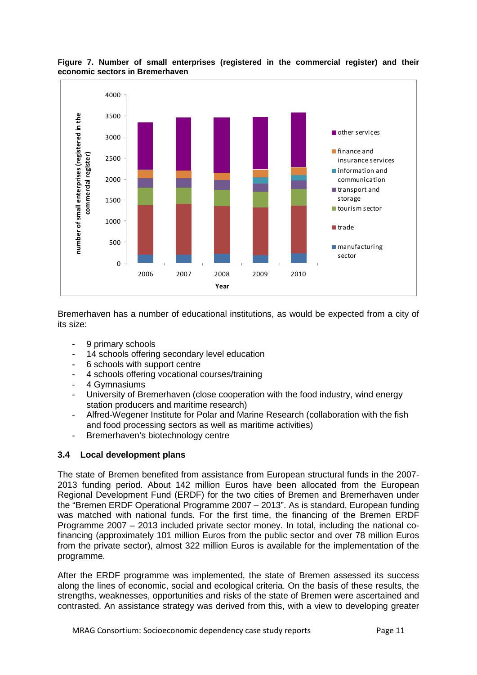

<span id="page-15-1"></span>**Figure 7. Number of small enterprises (registered in the commercial register) and their economic sectors in Bremerhaven**

Bremerhaven has a number of educational institutions, as would be expected from a city of its size:

- 9 primary schools
- 14 schools offering secondary level education
- 6 schools with support centre
- 4 schools offering vocational courses/training
- 4 Gymnasiums
- University of Bremerhaven (close cooperation with the food industry, wind energy station producers and maritime research)
- Alfred-Wegener Institute for Polar and Marine Research (collaboration with the fish and food processing sectors as well as maritime activities)
- Bremerhaven's biotechnology centre

# <span id="page-15-0"></span>**3.4 Local development plans**

The state of Bremen benefited from assistance from European structural funds in the 2007- 2013 funding period. About 142 million Euros have been allocated from the European Regional Development Fund (ERDF) for the two cities of Bremen and Bremerhaven under the "Bremen ERDF Operational Programme 2007 – 2013". As is standard, European funding was matched with national funds. For the first time, the financing of the Bremen ERDF Programme 2007 – 2013 included private sector money. In total, including the national cofinancing (approximately 101 million Euros from the public sector and over 78 million Euros from the private sector), almost 322 million Euros is available for the implementation of the programme.

After the ERDF programme was implemented, the state of Bremen assessed its success along the lines of economic, social and ecological criteria. On the basis of these results, the strengths, weaknesses, opportunities and risks of the state of Bremen were ascertained and contrasted. An assistance strategy was derived from this, with a view to developing greater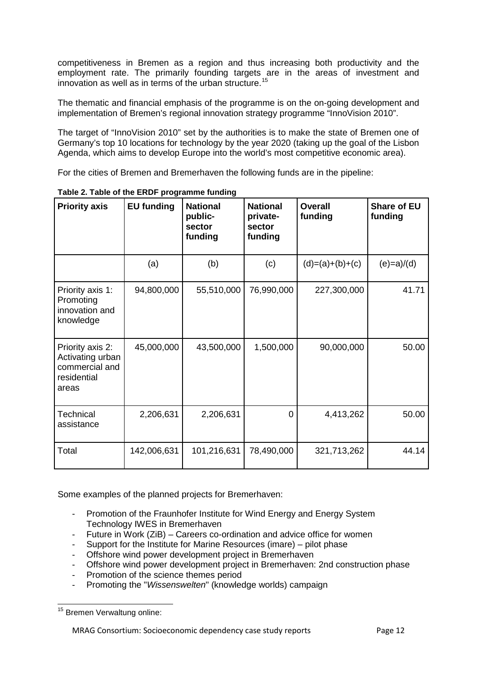competitiveness in Bremen as a region and thus increasing both productivity and the employment rate. The primarily founding targets are in the areas of investment and innovation as well as in terms of the urban structure.<sup>[15](#page-16-1)</sup>

The thematic and financial emphasis of the programme is on the on-going development and implementation of Bremen's regional innovation strategy programme "InnoVision 2010".

The target of "InnoVision 2010" set by the authorities is to make the state of Bremen one of Germany's top 10 locations for technology by the year 2020 (taking up the goal of the Lisbon Agenda, which aims to develop Europe into the world's most competitive economic area).

For the cities of Bremen and Bremerhaven the following funds are in the pipeline:

| <b>Priority axis</b>                                                           | <b>EU funding</b> | <b>National</b><br>public-<br>sector<br>funding | <b>National</b><br>private-<br>sector<br>funding | <b>Overall</b><br>funding | <b>Share of EU</b><br>funding |
|--------------------------------------------------------------------------------|-------------------|-------------------------------------------------|--------------------------------------------------|---------------------------|-------------------------------|
|                                                                                | (a)               | (b)                                             | (c)                                              | $(d)=(a)+(b)+(c)$         | $(e)=a)/(d)$                  |
| Priority axis 1:<br>Promoting<br>innovation and<br>knowledge                   | 94,800,000        | 55,510,000                                      | 76,990,000                                       | 227,300,000               | 41.71                         |
| Priority axis 2:<br>Activating urban<br>commercial and<br>residential<br>areas | 45,000,000        | 43,500,000                                      | 1,500,000                                        | 90,000,000                | 50.00                         |
| Technical<br>assistance                                                        | 2,206,631         | 2,206,631                                       | $\overline{0}$                                   | 4,413,262                 | 50.00                         |
| Total                                                                          | 142,006,631       | 101,216,631                                     | 78,490,000                                       | 321,713,262               | 44.14                         |

<span id="page-16-0"></span>**Table 2. Table of the ERDF programme funding**

Some examples of the planned projects for Bremerhaven:

- Promotion of the Fraunhofer Institute for Wind Energy and Energy System Technology IWES in Bremerhaven
- Future in Work (ZiB) Careers co-ordination and advice office for women
- Support for the Institute for Marine Resources (imare) pilot phase
- Offshore wind power development project in Bremerhaven
- Offshore wind power development project in Bremerhaven: 2nd construction phase
- Promotion of the science themes period
- Promoting the "*Wissenswelten*" (knowledge worlds) campaign

<span id="page-16-1"></span><sup>&</sup>lt;sup>15</sup> Bremen Verwaltung online: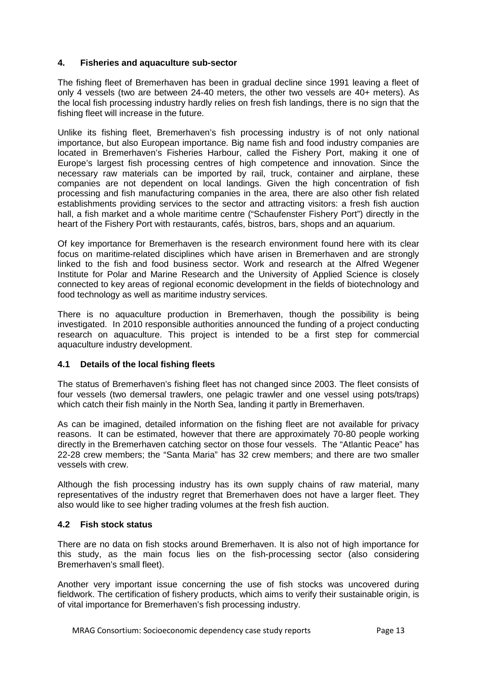# <span id="page-17-0"></span>**4. Fisheries and aquaculture sub-sector**

The fishing fleet of Bremerhaven has been in gradual decline since 1991 leaving a fleet of only 4 vessels (two are between 24-40 meters, the other two vessels are 40+ meters). As the local fish processing industry hardly relies on fresh fish landings, there is no sign that the fishing fleet will increase in the future.

Unlike its fishing fleet, Bremerhaven's fish processing industry is of not only national importance, but also European importance. Big name fish and food industry companies are located in Bremerhaven's Fisheries Harbour, called the Fishery Port, making it one of Europe's largest fish processing centres of high competence and innovation. Since the necessary raw materials can be imported by rail, truck, container and airplane, these companies are not dependent on local landings. Given the high concentration of fish processing and fish manufacturing companies in the area, there are also other fish related establishments providing services to the sector and attracting visitors: a fresh fish auction hall, a fish market and a whole maritime centre ("Schaufenster Fishery Port") directly in the heart of the Fishery Port with restaurants, cafés, bistros, bars, shops and an aquarium.

Of key importance for Bremerhaven is the research environment found here with its clear focus on maritime-related disciplines which have arisen in Bremerhaven and are strongly linked to the fish and food business sector. Work and research at the Alfred Wegener Institute for Polar and Marine Research and the University of Applied Science is closely connected to key areas of regional economic development in the fields of biotechnology and food technology as well as maritime industry services.

There is no aquaculture production in Bremerhaven, though the possibility is being investigated. In 2010 responsible authorities announced the funding of a project conducting research on aquaculture. This project is intended to be a first step for commercial aquaculture industry development.

#### <span id="page-17-1"></span>**4.1 Details of the local fishing fleets**

The status of Bremerhaven's fishing fleet has not changed since 2003. The fleet consists of four vessels (two demersal trawlers, one pelagic trawler and one vessel using pots/traps) which catch their fish mainly in the North Sea, landing it partly in Bremerhaven.

As can be imagined, detailed information on the fishing fleet are not available for privacy reasons. It can be estimated, however that there are approximately 70-80 people working directly in the Bremerhaven catching sector on those four vessels. The "Atlantic Peace" has 22-28 crew members; the "Santa Maria" has 32 crew members; and there are two smaller vessels with crew.

Although the fish processing industry has its own supply chains of raw material, many representatives of the industry regret that Bremerhaven does not have a larger fleet. They also would like to see higher trading volumes at the fresh fish auction.

#### <span id="page-17-2"></span>**4.2 Fish stock status**

There are no data on fish stocks around Bremerhaven. It is also not of high importance for this study, as the main focus lies on the fish-processing sector (also considering Bremerhaven's small fleet).

Another very important issue concerning the use of fish stocks was uncovered during fieldwork. The certification of fishery products, which aims to verify their sustainable origin, is of vital importance for Bremerhaven's fish processing industry.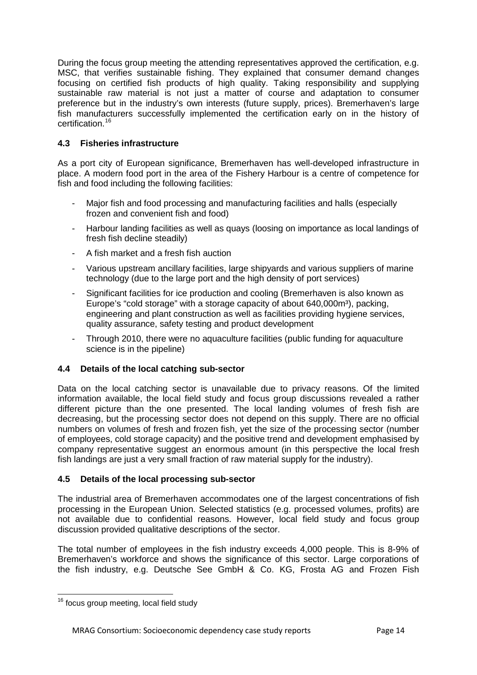During the focus group meeting the attending representatives approved the certification, e.g. MSC, that verifies sustainable fishing. They explained that consumer demand changes focusing on certified fish products of high quality. Taking responsibility and supplying sustainable raw material is not just a matter of course and adaptation to consumer preference but in the industry's own interests (future supply, prices). Bremerhaven's large fish manufacturers successfully implemented the certification early on in the history of certification. [16](#page-18-3)

# <span id="page-18-0"></span>**4.3 Fisheries infrastructure**

As a port city of European significance, Bremerhaven has well-developed infrastructure in place. A modern food port in the area of the Fishery Harbour is a centre of competence for fish and food including the following facilities:

- Major fish and food processing and manufacturing facilities and halls (especially frozen and convenient fish and food)
- Harbour landing facilities as well as quays (loosing on importance as local landings of fresh fish decline steadily)
- A fish market and a fresh fish auction
- Various upstream ancillary facilities, large shipyards and various suppliers of marine technology (due to the large port and the high density of port services)
- Significant facilities for ice production and cooling (Bremerhaven is also known as Europe's "cold storage" with a storage capacity of about  $640.000m^3$ ), packing, engineering and plant construction as well as facilities providing hygiene services, quality assurance, safety testing and product development
- Through 2010, there were no aquaculture facilities (public funding for aquaculture science is in the pipeline)

# <span id="page-18-1"></span>**4.4 Details of the local catching sub-sector**

Data on the local catching sector is unavailable due to privacy reasons. Of the limited information available, the local field study and focus group discussions revealed a rather different picture than the one presented. The local landing volumes of fresh fish are decreasing, but the processing sector does not depend on this supply. There are no official numbers on volumes of fresh and frozen fish, yet the size of the processing sector (number of employees, cold storage capacity) and the positive trend and development emphasised by company representative suggest an enormous amount (in this perspective the local fresh fish landings are just a very small fraction of raw material supply for the industry).

#### <span id="page-18-2"></span>**4.5 Details of the local processing sub-sector**

The industrial area of Bremerhaven accommodates one of the largest concentrations of fish processing in the European Union. Selected statistics (e.g. processed volumes, profits) are not available due to confidential reasons. However, local field study and focus group discussion provided qualitative descriptions of the sector.

The total number of employees in the fish industry exceeds 4,000 people. This is 8-9% of Bremerhaven's workforce and shows the significance of this sector. Large corporations of the fish industry, e.g. Deutsche See GmbH & Co. KG, Frosta AG and Frozen Fish

<span id="page-18-3"></span><sup>&</sup>lt;sup>16</sup> focus group meeting, local field study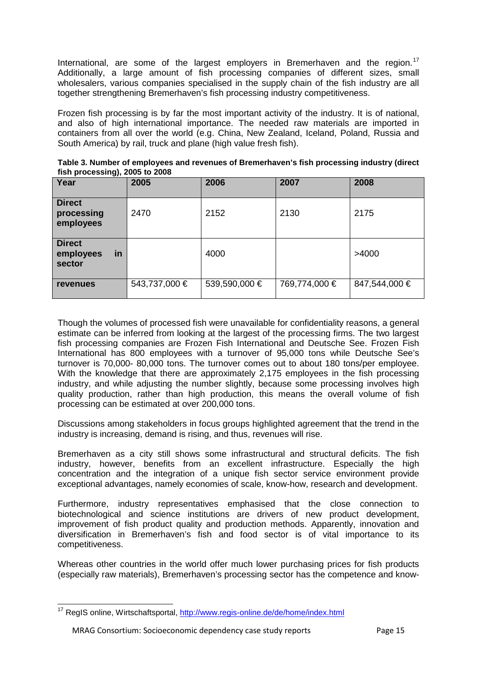International, are some of the largest employers in Bremerhaven and the region.<sup>[17](#page-19-1)</sup> Additionally, a large amount of fish processing companies of different sizes, small wholesalers, various companies specialised in the supply chain of the fish industry are all together strengthening Bremerhaven's fish processing industry competitiveness.

Frozen fish processing is by far the most important activity of the industry. It is of national, and also of high international importance. The needed raw materials are imported in containers from all over the world (e.g. China, New Zealand, Iceland, Poland, Russia and South America) by rail, truck and plane (high value fresh fish).

<span id="page-19-0"></span>

| Table 3. Number of employees and revenues of Bremerhaven's fish processing industry (direct |  |
|---------------------------------------------------------------------------------------------|--|
| fish processing), 2005 to 2008                                                              |  |

| Year                                       | 2005          | 2006          | 2007          | 2008          |
|--------------------------------------------|---------------|---------------|---------------|---------------|
| <b>Direct</b><br>processing<br>employees   | 2470          | 2152          | 2130          | 2175          |
| <b>Direct</b><br>employees<br>in<br>sector |               | 4000          |               | >4000         |
| <b>revenues</b>                            | 543,737,000 € | 539,590,000 € | 769,774,000 € | 847,544,000 € |

Though the volumes of processed fish were unavailable for confidentiality reasons, a general estimate can be inferred from looking at the largest of the processing firms. The two largest fish processing companies are Frozen Fish International and Deutsche See. Frozen Fish International has 800 employees with a turnover of 95,000 tons while Deutsche See's turnover is 70,000- 80,000 tons. The turnover comes out to about 180 tons/per employee. With the knowledge that there are approximately 2,175 employees in the fish processing industry, and while adjusting the number slightly, because some processing involves high quality production, rather than high production, this means the overall volume of fish processing can be estimated at over 200,000 tons.

Discussions among stakeholders in focus groups highlighted agreement that the trend in the industry is increasing, demand is rising, and thus, revenues will rise.

Bremerhaven as a city still shows some infrastructural and structural deficits. The fish industry, however, benefits from an excellent infrastructure. Especially the high concentration and the integration of a unique fish sector service environment provide exceptional advantages, namely economies of scale, know-how, research and development.

Furthermore, industry representatives emphasised that the close connection to biotechnological and science institutions are drivers of new product development, improvement of fish product quality and production methods. Apparently, innovation and diversification in Bremerhaven's fish and food sector is of vital importance to its competitiveness.

Whereas other countries in the world offer much lower purchasing prices for fish products (especially raw materials), Bremerhaven's processing sector has the competence and know-

<span id="page-19-1"></span><sup>&</sup>lt;sup>17</sup> RegIS online, Wirtschaftsportal,<http://www.regis-online.de/de/home/index.html>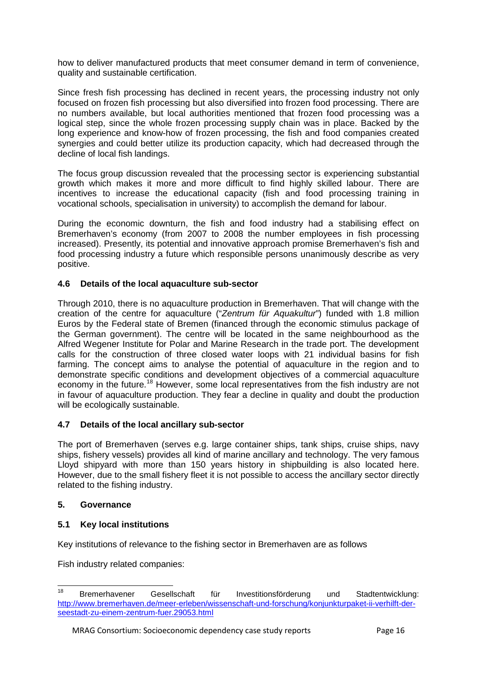how to deliver manufactured products that meet consumer demand in term of convenience, quality and sustainable certification.

Since fresh fish processing has declined in recent years, the processing industry not only focused on frozen fish processing but also diversified into frozen food processing. There are no numbers available, but local authorities mentioned that frozen food processing was a logical step, since the whole frozen processing supply chain was in place. Backed by the long experience and know-how of frozen processing, the fish and food companies created synergies and could better utilize its production capacity, which had decreased through the decline of local fish landings.

The focus group discussion revealed that the processing sector is experiencing substantial growth which makes it more and more difficult to find highly skilled labour. There are incentives to increase the educational capacity (fish and food processing training in vocational schools, specialisation in university) to accomplish the demand for labour.

During the economic downturn, the fish and food industry had a stabilising effect on Bremerhaven's economy (from 2007 to 2008 the number employees in fish processing increased). Presently, its potential and innovative approach promise Bremerhaven's fish and food processing industry a future which responsible persons unanimously describe as very positive.

#### <span id="page-20-0"></span>**4.6 Details of the local aquaculture sub-sector**

Through 2010, there is no aquaculture production in Bremerhaven. That will change with the creation of the centre for aquaculture ("*Zentrum für Aquakultur*") funded with 1.8 million Euros by the Federal state of Bremen (financed through the economic stimulus package of the German government). The centre will be located in the same neighbourhood as the Alfred Wegener Institute for Polar and Marine Research in the trade port. The development calls for the construction of three closed water loops with 21 individual basins for fish farming. The concept aims to analyse the potential of aquaculture in the region and to demonstrate specific conditions and development objectives of a commercial aquaculture economy in the future.<sup>[18](#page-20-4)</sup> However, some local representatives from the fish industry are not in favour of aquaculture production. They fear a decline in quality and doubt the production will be ecologically sustainable.

#### <span id="page-20-1"></span>**4.7 Details of the local ancillary sub-sector**

The port of Bremerhaven (serves e.g. large container ships, tank ships, cruise ships, navy ships, fishery vessels) provides all kind of marine ancillary and technology. The very famous Lloyd shipyard with more than 150 years history in shipbuilding is also located here. However, due to the small fishery fleet it is not possible to access the ancillary sector directly related to the fishing industry.

### <span id="page-20-2"></span>**5. Governance**

# <span id="page-20-3"></span>**5.1 Key local institutions**

Key institutions of relevance to the fishing sector in Bremerhaven are as follows

Fish industry related companies:

<span id="page-20-4"></span> <sup>18</sup> Bremerhavener Gesellschaft für Investitionsförderung und Stadtentwicklung: [http://www.bremerhaven.de/meer-erleben/wissenschaft-und-forschung/konjunkturpaket-ii-verhilft-der](http://www.bremerhaven.de/meer-erleben/wissenschaft-und-forschung/konjunkturpaket-ii-verhilft-der-seestadt-zu-einem-zentrum-fuer.29053.html)[seestadt-zu-einem-zentrum-fuer.29053.html](http://www.bremerhaven.de/meer-erleben/wissenschaft-und-forschung/konjunkturpaket-ii-verhilft-der-seestadt-zu-einem-zentrum-fuer.29053.html)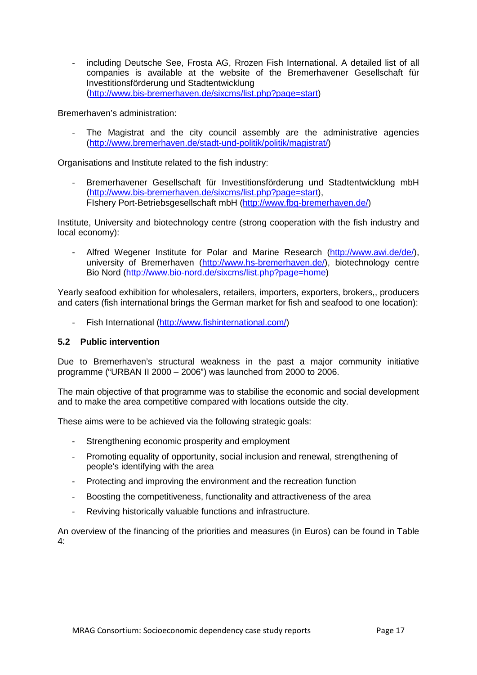including Deutsche See, Frosta AG, Rrozen Fish International. A detailed list of all companies is available at the website of the Bremerhavener Gesellschaft für Investitionsförderung und Stadtentwicklung [\(http://www.bis-bremerhaven.de/sixcms/list.php?page=start\)](http://www.bis-bremerhaven.de/sixcms/list.php?page=start)

Bremerhaven's administration:

The Magistrat and the city council assembly are the administrative agencies [\(http://www.bremerhaven.de/stadt-und-politik/politik/magistrat/\)](http://www.bremerhaven.de/stadt-und-politik/politik/magistrat/)

Organisations and Institute related to the fish industry:

Bremerhavener Gesellschaft für Investitionsförderung und Stadtentwicklung mbH [\(http://www.bis-bremerhaven.de/sixcms/list.php?page=start\)](http://www.bis-bremerhaven.de/sixcms/list.php?page=start), FIshery Port-Betriebsgesellschaft mbH [\(http://www.fbg-bremerhaven.de/\)](http://www.fbg-bremerhaven.de/)

Institute, University and biotechnology centre (strong cooperation with the fish industry and local economy):

Alfred Wegener Institute for Polar and Marine Research [\(http://www.awi.de/de/\)](http://www.awi.de/de/), university of Bremerhaven [\(http://www.hs-bremerhaven.de/\)](http://www.hs-bremerhaven.de/), biotechnology centre Bio Nord [\(http://www.bio-nord.de/sixcms/list.php?page=home\)](http://www.bio-nord.de/sixcms/list.php?page=home)

Yearly seafood exhibition for wholesalers, retailers, importers, exporters, brokers,, producers and caters (fish international brings the German market for fish and seafood to one location):

Fish International [\(http://www.fishinternational.com/\)](http://www.fishinternational.com/)

#### <span id="page-21-0"></span>**5.2 Public intervention**

Due to Bremerhaven's structural weakness in the past a major community initiative programme ("URBAN II 2000 – 2006") was launched from 2000 to 2006.

The main objective of that programme was to stabilise the economic and social development and to make the area competitive compared with locations outside the city.

These aims were to be achieved via the following strategic goals:

- Strengthening economic prosperity and employment
- Promoting equality of opportunity, social inclusion and renewal, strengthening of people's identifying with the area
- Protecting and improving the environment and the recreation function
- Boosting the competitiveness, functionality and attractiveness of the area
- Reviving historically valuable functions and infrastructure.

An overview of the financing of the priorities and measures (in Euros) can be found in Table 4: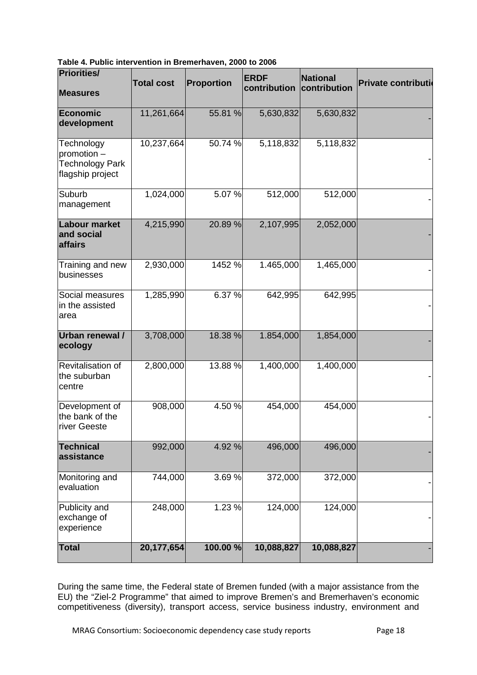<span id="page-22-0"></span>**Table 4. Public intervention in Bremerhaven, 2000 to 2006**

| <b>Priorities/</b>                                                      | <b>Total cost</b> | <b>Proportion</b> | <b>ERDF</b>  | <b>National</b> | Private contributi |
|-------------------------------------------------------------------------|-------------------|-------------------|--------------|-----------------|--------------------|
| <b>Measures</b>                                                         |                   |                   | contribution | contribution    |                    |
| Economic<br>development                                                 | 11,261,664        | 55.81 %           | 5,630,832    | 5,630,832       |                    |
| Technology<br>promotion -<br><b>Technology Park</b><br>flagship project | 10,237,664        | 50.74 %           | 5,118,832    | 5,118,832       |                    |
| Suburb<br>management                                                    | 1,024,000         | 5.07%             | 512,000      | 512,000         |                    |
| <b>Labour market</b><br>and social<br>affairs                           | 4,215,990         | 20.89 %           | 2,107,995    | 2,052,000       |                    |
| Training and new<br>businesses                                          | 2,930,000         | 1452 %            | 1.465,000    | 1,465,000       |                    |
| Social measures<br>in the assisted<br>area                              | 1,285,990         | 6.37 %            | 642,995      | 642,995         |                    |
| Urban renewal /<br>ecology                                              | 3,708,000         | 18.38 %           | 1.854,000    | 1,854,000       |                    |
| Revitalisation of<br>the suburban<br>centre                             | 2,800,000         | 13.88 %           | 1,400,000    | 1,400,000       |                    |
| Development of<br>the bank of the<br>river Geeste                       | 908,000           | 4.50 %            | 454,000      | 454,000         |                    |
| <b>Technical</b><br>assistance                                          | 992,000           | 4.92 %            | 496,000      | 496,000         |                    |
| Monitoring and<br>evaluation                                            | 744,000           | 3.69%             | 372,000      | 372,000         |                    |
| Publicity and<br>exchange of<br>experience                              | 248,000           | 1.23 %            | 124,000      | 124,000         |                    |
| <b>Total</b>                                                            | 20,177,654        | 100.00 %          | 10,088,827   | 10,088,827      |                    |

During the same time, the Federal state of Bremen funded (with a major assistance from the EU) the "Ziel-2 Programme" that aimed to improve Bremen's and Bremerhaven's economic competitiveness (diversity), transport access, service business industry, environment and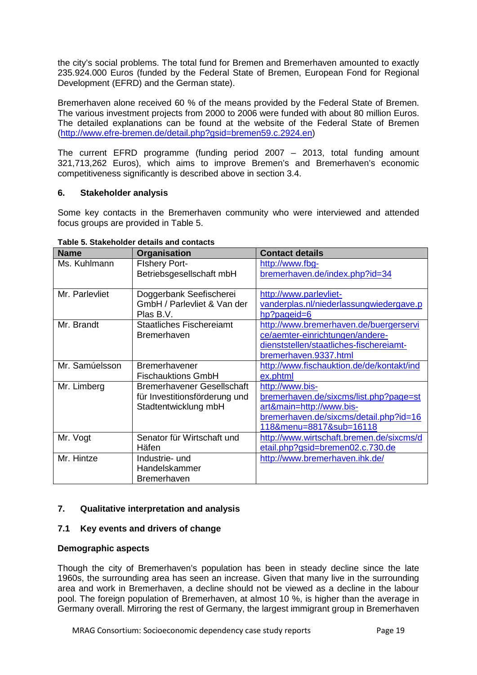the city's social problems. The total fund for Bremen and Bremerhaven amounted to exactly 235.924.000 Euros (funded by the Federal State of Bremen, European Fond for Regional Development (EFRD) and the German state).

Bremerhaven alone received 60 % of the means provided by the Federal State of Bremen. The various investment projects from 2000 to 2006 were funded with about 80 million Euros. The detailed explanations can be found at the website of the Federal State of Bremen [\(http://www.efre-bremen.de/detail.php?gsid=bremen59.c.2924.en\)](http://www.efre-bremen.de/detail.php?gsid=bremen59.c.2924.en)

The current EFRD programme (funding period 2007 – 2013, total funding amount 321,713,262 Euros), which aims to improve Bremen's and Bremerhaven's economic competitiveness significantly is described above in section 3.4.

#### <span id="page-23-0"></span>**6. Stakeholder analysis**

Some key contacts in the Bremerhaven community who were interviewed and attended focus groups are provided in Table 5.

| <b>Name</b>    | <b>Organisation</b>               | <b>Contact details</b>                    |
|----------------|-----------------------------------|-------------------------------------------|
| Ms. Kuhlmann   | <b>Fishery Port-</b>              | http://www.fbg-                           |
|                | Betriebsgesellschaft mbH          | bremerhaven.de/index.php?id=34            |
|                |                                   |                                           |
| Mr. Parlevliet | Doggerbank Seefischerei           | http://www.parlevliet-                    |
|                | GmbH / Parlevliet & Van der       | vanderplas.nl/niederlassungwiedergave.p   |
|                | Plas B.V.                         | hp?pageid=6                               |
| Mr. Brandt     | <b>Staatliches Fischereiamt</b>   | http://www.bremerhaven.de/buergerservi    |
|                | <b>Bremerhaven</b>                | ce/aemter-einrichtungen/andere-           |
|                |                                   | dienststellen/staatliches-fischereiamt-   |
|                |                                   | bremerhaven.9337.html                     |
| Mr. Samúelsson | <b>Bremerhavener</b>              | http://www.fischauktion.de/de/kontakt/ind |
|                | <b>Fischauktions GmbH</b>         | ex.phtml                                  |
| Mr. Limberg    | <b>Bremerhavener Gesellschaft</b> | http://www.bis-                           |
|                | für Investitionsförderung und     | bremerhaven.de/sixcms/list.php?page=st    |
|                | Stadtentwicklung mbH              | art&main=http://www.bis-                  |
|                |                                   | bremerhaven.de/sixcms/detail.php?id=16    |
|                |                                   | 118&menu=8817⊂=16118                      |
| Mr. Vogt       | Senator für Wirtschaft und        | http://www.wirtschaft.bremen.de/sixcms/d  |
|                | Häfen                             | etail.php?gsid=bremen02.c.730.de          |
| Mr. Hintze     | Industrie- und                    | http://www.bremerhaven.ihk.de/            |
|                | Handelskammer                     |                                           |
|                | <b>Bremerhaven</b>                |                                           |

#### <span id="page-23-3"></span>**Table 5. Stakeholder details and contacts**

#### <span id="page-23-1"></span>**7. Qualitative interpretation and analysis**

#### <span id="page-23-2"></span>**7.1 Key events and drivers of change**

#### **Demographic aspects**

Though the city of Bremerhaven's population has been in steady decline since the late 1960s, the surrounding area has seen an increase. Given that many live in the surrounding area and work in Bremerhaven, a decline should not be viewed as a decline in the labour pool. The foreign population of Bremerhaven, at almost 10 %, is higher than the average in Germany overall. Mirroring the rest of Germany, the largest immigrant group in Bremerhaven

MRAG Consortium: Socioeconomic dependency case study reports Page 19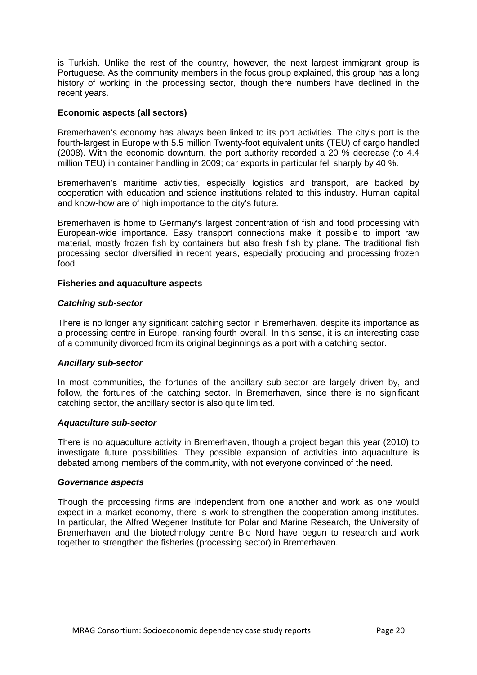is Turkish. Unlike the rest of the country, however, the next largest immigrant group is Portuguese. As the community members in the focus group explained, this group has a long history of working in the processing sector, though there numbers have declined in the recent years.

#### **Economic aspects (all sectors)**

Bremerhaven's economy has always been linked to its port activities. The city's port is the fourth-largest in Europe with 5.5 million Twenty-foot equivalent units (TEU) of cargo handled (2008). With the economic downturn, the port authority recorded a 20 % decrease (to 4.4 million TEU) in container handling in 2009; car exports in particular fell sharply by 40 %.

Bremerhaven's maritime activities, especially logistics and transport, are backed by cooperation with education and science institutions related to this industry. Human capital and know-how are of high importance to the city's future.

Bremerhaven is home to Germany's largest concentration of fish and food processing with European-wide importance. Easy transport connections make it possible to import raw material, mostly frozen fish by containers but also fresh fish by plane. The traditional fish processing sector diversified in recent years, especially producing and processing frozen food.

#### **Fisheries and aquaculture aspects**

#### *Catching sub-sector*

There is no longer any significant catching sector in Bremerhaven, despite its importance as a processing centre in Europe, ranking fourth overall. In this sense, it is an interesting case of a community divorced from its original beginnings as a port with a catching sector.

#### *Ancillary sub-sector*

In most communities, the fortunes of the ancillary sub-sector are largely driven by, and follow, the fortunes of the catching sector. In Bremerhaven, since there is no significant catching sector, the ancillary sector is also quite limited.

#### *Aquaculture sub-sector*

There is no aquaculture activity in Bremerhaven, though a project began this year (2010) to investigate future possibilities. They possible expansion of activities into aquaculture is debated among members of the community, with not everyone convinced of the need.

#### *Governance aspects*

Though the processing firms are independent from one another and work as one would expect in a market economy, there is work to strengthen the cooperation among institutes. In particular, the Alfred Wegener Institute for Polar and Marine Research, the University of Bremerhaven and the biotechnology centre Bio Nord have begun to research and work together to strengthen the fisheries (processing sector) in Bremerhaven.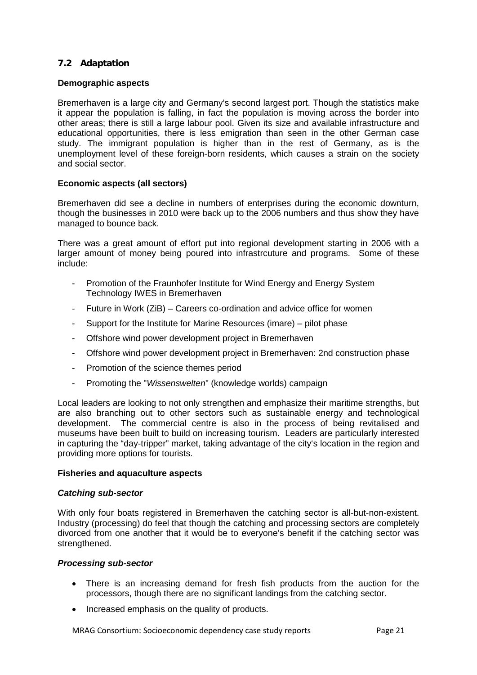### <span id="page-25-0"></span>**7.2 Adaptation**

#### **Demographic aspects**

Bremerhaven is a large city and Germany's second largest port. Though the statistics make it appear the population is falling, in fact the population is moving across the border into other areas; there is still a large labour pool. Given its size and available infrastructure and educational opportunities, there is less emigration than seen in the other German case study. The immigrant population is higher than in the rest of Germany, as is the unemployment level of these foreign-born residents, which causes a strain on the society and social sector.

#### **Economic aspects (all sectors)**

Bremerhaven did see a decline in numbers of enterprises during the economic downturn, though the businesses in 2010 were back up to the 2006 numbers and thus show they have managed to bounce back.

There was a great amount of effort put into regional development starting in 2006 with a larger amount of money being poured into infrastrcuture and programs. Some of these include:

- Promotion of the Fraunhofer Institute for Wind Energy and Energy System Technology IWES in Bremerhaven
- Future in Work (ZiB) Careers co-ordination and advice office for women
- Support for the Institute for Marine Resources (imare) pilot phase
- Offshore wind power development project in Bremerhaven
- Offshore wind power development project in Bremerhaven: 2nd construction phase
- Promotion of the science themes period
- Promoting the "*Wissenswelten*" (knowledge worlds) campaign

Local leaders are looking to not only strengthen and emphasize their maritime strengths, but are also branching out to other sectors such as sustainable energy and technological development. The commercial centre is also in the process of being revitalised and museums have been built to build on increasing tourism. Leaders are particularly interested in capturing the "day-tripper" market, taking advantage of the city's location in the region and providing more options for tourists.

#### **Fisheries and aquaculture aspects**

#### *Catching sub-sector*

With only four boats registered in Bremerhaven the catching sector is all-but-non-existent. Industry (processing) do feel that though the catching and processing sectors are completely divorced from one another that it would be to everyone's benefit if the catching sector was strengthened.

#### *Processing sub-sector*

- There is an increasing demand for fresh fish products from the auction for the processors, though there are no significant landings from the catching sector.
- Increased emphasis on the quality of products.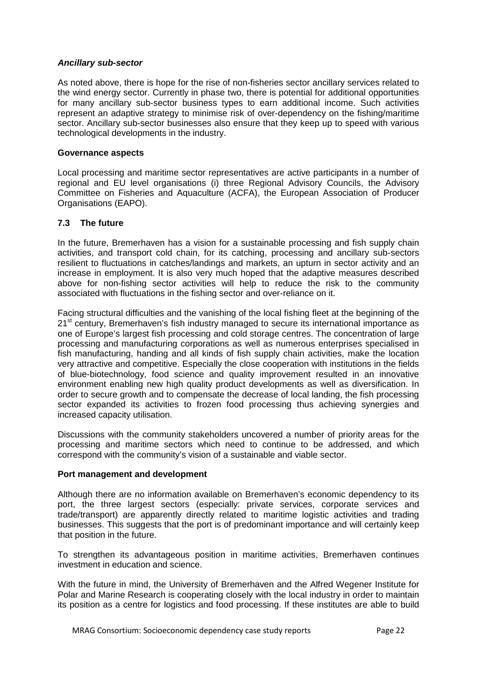#### *Ancillary sub-sector*

As noted above, there is hope for the rise of non-fisheries sector ancillary services related to the wind energy sector. Currently in phase two, there is potential for additional opportunities for many ancillary sub-sector business types to earn additional income. Such activities represent an adaptive strategy to minimise risk of over-dependency on the fishing/maritime sector. Ancillary sub-sector businesses also ensure that they keep up to speed with various technological developments in the industry.

#### **Governance aspects**

Local processing and maritime sector representatives are active participants in a number of regional and EU level organisations (i) three Regional Advisory Councils, the Advisory Committee on Fisheries and Aquaculture (ACFA), the European Association of Producer Organisations (EAPO).

#### <span id="page-26-0"></span>**7.3 The future**

In the future, Bremerhaven has a vision for a sustainable processing and fish supply chain activities, and transport cold chain, for its catching, processing and ancillary sub-sectors resilient to fluctuations in catches/landings and markets, an upturn in sector activity and an increase in employment. It is also very much hoped that the adaptive measures described above for non-fishing sector activities will help to reduce the risk to the community associated with fluctuations in the fishing sector and over-reliance on it.

Facing structural difficulties and the vanishing of the local fishing fleet at the beginning of the 21<sup>st</sup> century, Bremerhaven's fish industry managed to secure its international importance as one of Europe's largest fish processing and cold storage centres. The concentration of large processing and manufacturing corporations as well as numerous enterprises specialised in fish manufacturing, handing and all kinds of fish supply chain activities, make the location very attractive and competitive. Especially the close cooperation with institutions in the fields of blue-biotechnology, food science and quality improvement resulted in an innovative environment enabling new high quality product developments as well as diversification. In order to secure growth and to compensate the decrease of local landing, the fish processing sector expanded its activities to frozen food processing thus achieving synergies and increased capacity utilisation.

Discussions with the community stakeholders uncovered a number of priority areas for the processing and maritime sectors which need to continue to be addressed, and which correspond with the community's vision of a sustainable and viable sector.

#### **Port management and development**

Although there are no information available on Bremerhaven's economic dependency to its port, the three largest sectors (especially: private services, corporate services and trade/transport) are apparently directly related to maritime logistic activities and trading businesses. This suggests that the port is of predominant importance and will certainly keep that position in the future.

To strengthen its advantageous position in maritime activities, Bremerhaven continues investment in education and science.

With the future in mind, the University of Bremerhaven and the Alfred Wegener Institute for Polar and Marine Research is cooperating closely with the local industry in order to maintain its position as a centre for logistics and food processing. If these institutes are able to build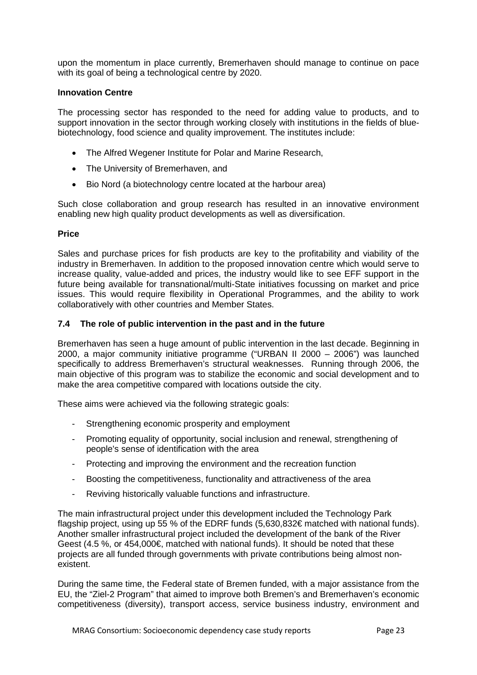upon the momentum in place currently, Bremerhaven should manage to continue on pace with its goal of being a technological centre by 2020.

#### **Innovation Centre**

The processing sector has responded to the need for adding value to products, and to support innovation in the sector through working closely with institutions in the fields of bluebiotechnology, food science and quality improvement. The institutes include:

- The Alfred Wegener Institute for Polar and Marine Research,
- The University of Bremerhaven, and
- Bio Nord (a biotechnology centre located at the harbour area)

Such close collaboration and group research has resulted in an innovative environment enabling new high quality product developments as well as diversification.

#### **Price**

Sales and purchase prices for fish products are key to the profitability and viability of the industry in Bremerhaven. In addition to the proposed innovation centre which would serve to increase quality, value-added and prices, the industry would like to see EFF support in the future being available for transnational/multi-State initiatives focussing on market and price issues. This would require flexibility in Operational Programmes, and the ability to work collaboratively with other countries and Member States.

#### <span id="page-27-0"></span>**7.4 The role of public intervention in the past and in the future**

Bremerhaven has seen a huge amount of public intervention in the last decade. Beginning in 2000, a major community initiative programme ("URBAN II 2000 – 2006") was launched specifically to address Bremerhaven's structural weaknesses. Running through 2006, the main objective of this program was to stabilize the economic and social development and to make the area competitive compared with locations outside the city.

These aims were achieved via the following strategic goals:

- Strengthening economic prosperity and employment
- Promoting equality of opportunity, social inclusion and renewal, strengthening of people's sense of identification with the area
- Protecting and improving the environment and the recreation function
- Boosting the competitiveness, functionality and attractiveness of the area
- Reviving historically valuable functions and infrastructure.

The main infrastructural project under this development included the Technology Park flagship project, using up 55 % of the EDRF funds (5,630,832€ matched with national funds). Another smaller infrastructural project included the development of the bank of the River Geest (4.5 %, or 454,000 $\notin$  matched with national funds). It should be noted that these projects are all funded through governments with private contributions being almost nonexistent.

During the same time, the Federal state of Bremen funded, with a major assistance from the EU, the "Ziel-2 Program" that aimed to improve both Bremen's and Bremerhaven's economic competitiveness (diversity), transport access, service business industry, environment and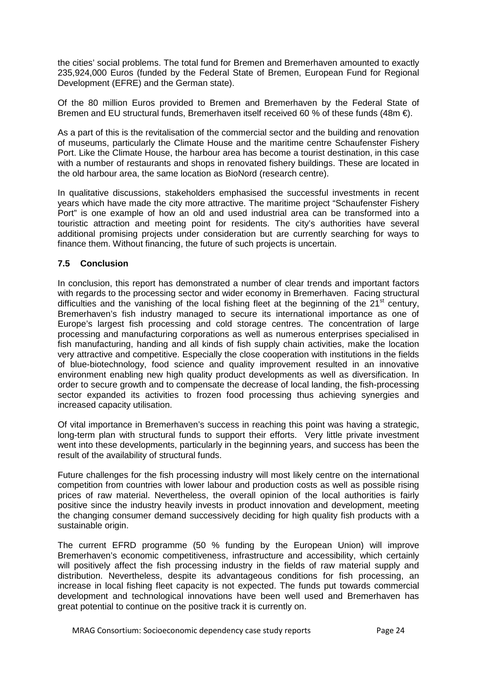the cities' social problems. The total fund for Bremen and Bremerhaven amounted to exactly 235,924,000 Euros (funded by the Federal State of Bremen, European Fund for Regional Development (EFRE) and the German state).

Of the 80 million Euros provided to Bremen and Bremerhaven by the Federal State of Bremen and EU structural funds, Bremerhaven itself received 60 % of these funds (48m €).

As a part of this is the revitalisation of the commercial sector and the building and renovation of museums, particularly the Climate House and the maritime centre Schaufenster Fishery Port. Like the Climate House, the harbour area has become a tourist destination, in this case with a number of restaurants and shops in renovated fishery buildings. These are located in the old harbour area, the same location as BioNord (research centre).

In qualitative discussions, stakeholders emphasised the successful investments in recent years which have made the city more attractive. The maritime project "Schaufenster Fishery Port" is one example of how an old and used industrial area can be transformed into a touristic attraction and meeting point for residents. The city's authorities have several additional promising projects under consideration but are currently searching for ways to finance them. Without financing, the future of such projects is uncertain.

# <span id="page-28-0"></span>**7.5 Conclusion**

In conclusion, this report has demonstrated a number of clear trends and important factors with regards to the processing sector and wider economy in Bremerhaven. Facing structural difficulties and the vanishing of the local fishing fleet at the beginning of the  $21<sup>st</sup>$  century. Bremerhaven's fish industry managed to secure its international importance as one of Europe's largest fish processing and cold storage centres. The concentration of large processing and manufacturing corporations as well as numerous enterprises specialised in fish manufacturing, handing and all kinds of fish supply chain activities, make the location very attractive and competitive. Especially the close cooperation with institutions in the fields of blue-biotechnology, food science and quality improvement resulted in an innovative environment enabling new high quality product developments as well as diversification. In order to secure growth and to compensate the decrease of local landing, the fish-processing sector expanded its activities to frozen food processing thus achieving synergies and increased capacity utilisation.

Of vital importance in Bremerhaven's success in reaching this point was having a strategic, long-term plan with structural funds to support their efforts. Very little private investment went into these developments, particularly in the beginning years, and success has been the result of the availability of structural funds.

Future challenges for the fish processing industry will most likely centre on the international competition from countries with lower labour and production costs as well as possible rising prices of raw material. Nevertheless, the overall opinion of the local authorities is fairly positive since the industry heavily invests in product innovation and development, meeting the changing consumer demand successively deciding for high quality fish products with a sustainable origin.

The current EFRD programme (50 % funding by the European Union) will improve Bremerhaven's economic competitiveness, infrastructure and accessibility, which certainly will positively affect the fish processing industry in the fields of raw material supply and distribution. Nevertheless, despite its advantageous conditions for fish processing, an increase in local fishing fleet capacity is not expected. The funds put towards commercial development and technological innovations have been well used and Bremerhaven has great potential to continue on the positive track it is currently on.